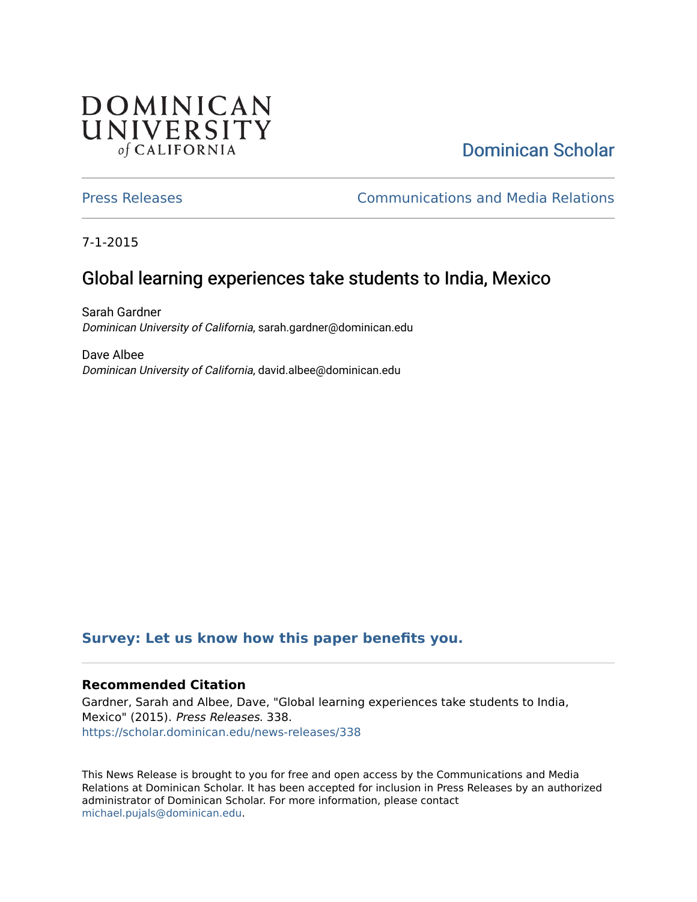## **DOMINICAN** UNIVERSITY of CALIFORNIA

# [Dominican Scholar](https://scholar.dominican.edu/)

[Press Releases](https://scholar.dominican.edu/news-releases) [Communications and Media Relations](https://scholar.dominican.edu/communications-media) 

7-1-2015

# Global learning experiences take students to India, Mexico

Sarah Gardner Dominican University of California, sarah.gardner@dominican.edu

Dave Albee Dominican University of California, david.albee@dominican.edu

#### **[Survey: Let us know how this paper benefits you.](https://dominican.libwizard.com/dominican-scholar-feedback)**

#### **Recommended Citation**

Gardner, Sarah and Albee, Dave, "Global learning experiences take students to India, Mexico" (2015). Press Releases. 338. [https://scholar.dominican.edu/news-releases/338](https://scholar.dominican.edu/news-releases/338?utm_source=scholar.dominican.edu%2Fnews-releases%2F338&utm_medium=PDF&utm_campaign=PDFCoverPages)

This News Release is brought to you for free and open access by the Communications and Media Relations at Dominican Scholar. It has been accepted for inclusion in Press Releases by an authorized administrator of Dominican Scholar. For more information, please contact [michael.pujals@dominican.edu.](mailto:michael.pujals@dominican.edu)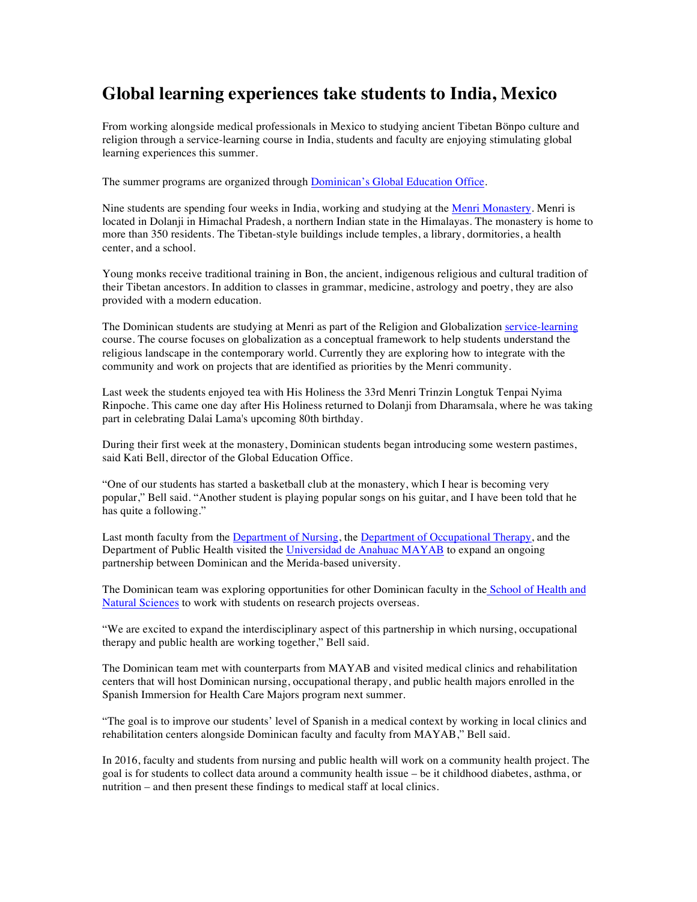### **Global learning experiences take students to India, Mexico**

From working alongside medical professionals in Mexico to studying ancient Tibetan Bönpo culture and religion through a service-learning course in India, students and faculty are enjoying stimulating global learning experiences this summer.

The summer programs are organized through Dominican's Global Education Office.

Nine students are spending four weeks in India, working and studying at the Menri Monastery. Menri is located in Dolanji in Himachal Pradesh, a northern Indian state in the Himalayas. The monastery is home to more than 350 residents. The Tibetan-style buildings include temples, a library, dormitories, a health center, and a school.

Young monks receive traditional training in Bon, the ancient, indigenous religious and cultural tradition of their Tibetan ancestors. In addition to classes in grammar, medicine, astrology and poetry, they are also provided with a modern education.

The Dominican students are studying at Menri as part of the Religion and Globalization service-learning course. The course focuses on globalization as a conceptual framework to help students understand the religious landscape in the contemporary world. Currently they are exploring how to integrate with the community and work on projects that are identified as priorities by the Menri community.

Last week the students enjoyed tea with His Holiness the 33rd Menri Trinzin Longtuk Tenpai Nyima Rinpoche. This came one day after His Holiness returned to Dolanji from Dharamsala, where he was taking part in celebrating Dalai Lama's upcoming 80th birthday.

During their first week at the monastery, Dominican students began introducing some western pastimes, said Kati Bell, director of the Global Education Office.

"One of our students has started a basketball club at the monastery, which I hear is becoming very popular," Bell said. "Another student is playing popular songs on his guitar, and I have been told that he has quite a following."

Last month faculty from the Department of Nursing, the Department of Occupational Therapy, and the Department of Public Health visited the Universidad de Anahuac MAYAB to expand an ongoing partnership between Dominican and the Merida-based university.

The Dominican team was exploring opportunities for other Dominican faculty in the School of Health and Natural Sciences to work with students on research projects overseas.

"We are excited to expand the interdisciplinary aspect of this partnership in which nursing, occupational therapy and public health are working together," Bell said.

The Dominican team met with counterparts from MAYAB and visited medical clinics and rehabilitation centers that will host Dominican nursing, occupational therapy, and public health majors enrolled in the Spanish Immersion for Health Care Majors program next summer.

"The goal is to improve our students' level of Spanish in a medical context by working in local clinics and rehabilitation centers alongside Dominican faculty and faculty from MAYAB," Bell said.

In 2016, faculty and students from nursing and public health will work on a community health project. The goal is for students to collect data around a community health issue – be it childhood diabetes, asthma, or nutrition – and then present these findings to medical staff at local clinics.